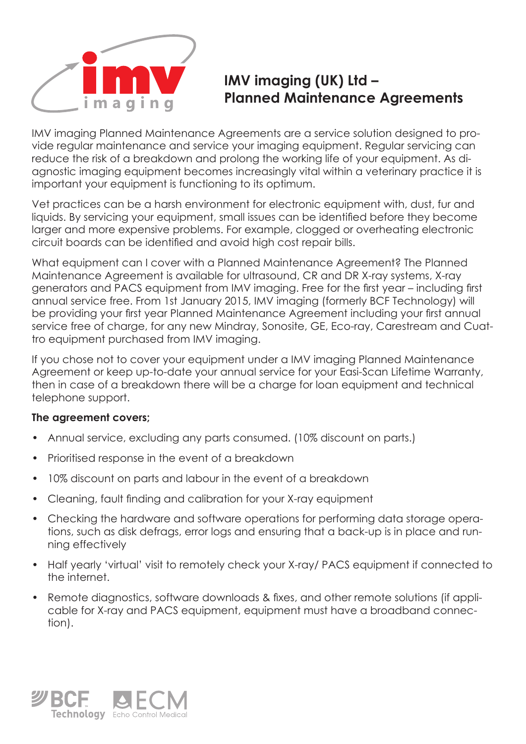

## **IMV imaging (UK) Ltd – Planned Maintenance Agreements**

IMV imaging Planned Maintenance Agreements are a service solution designed to provide regular maintenance and service your imaging equipment. Regular servicing can reduce the risk of a breakdown and prolong the working life of your equipment. As diagnostic imaging equipment becomes increasingly vital within a veterinary practice it is important your equipment is functioning to its optimum.

Vet practices can be a harsh environment for electronic equipment with, dust, fur and liquids. By servicing your equipment, small issues can be identified before they become larger and more expensive problems. For example, clogged or overheating electronic circuit boards can be identified and avoid high cost repair bills.

What equipment can I cover with a Planned Maintenance Agreement? The Planned Maintenance Agreement is available for ultrasound, CR and DR X-ray systems, X-ray generators and PACS equipment from IMV imaging. Free for the first year – including first annual service free. From 1st January 2015, IMV imaging (formerly BCF Technology) will be providing your first year Planned Maintenance Agreement including your first annual service free of charge, for any new Mindray, Sonosite, GE, Eco-ray, Carestream and Cuattro equipment purchased from IMV imaging.

If you chose not to cover your equipment under a IMV imaging Planned Maintenance Agreement or keep up-to-date your annual service for your Easi-Scan Lifetime Warranty, then in case of a breakdown there will be a charge for loan equipment and technical telephone support.

## **The agreement covers;**

- Annual service, excluding any parts consumed. (10% discount on parts.)
- Prioritised response in the event of a breakdown
- 10% discount on parts and labour in the event of a breakdown
- Cleaning, fault finding and calibration for your X-ray equipment
- Checking the hardware and software operations for performing data storage operations, such as disk defrags, error logs and ensuring that a back-up is in place and running effectively
- Half yearly 'virtual' visit to remotely check your X-ray/ PACS equipment if connected to the internet.
- Remote diagnostics, software downloads & fixes, and other remote solutions (if applicable for X-ray and PACS equipment, equipment must have a broadband connection).

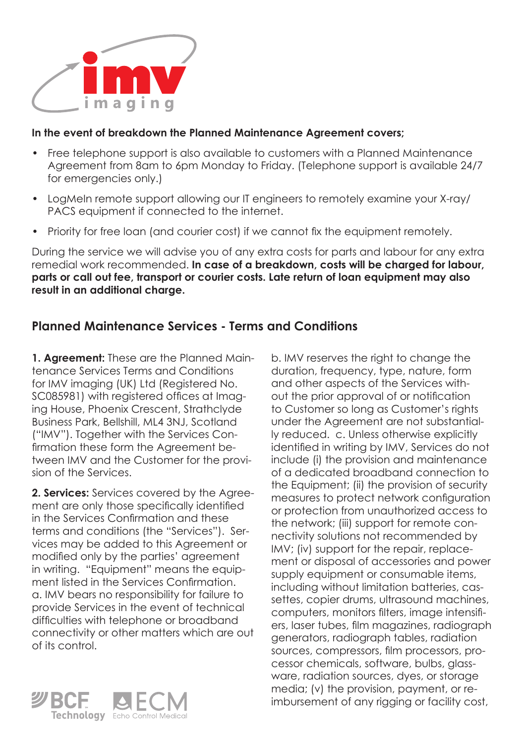

## **In the event of breakdown the Planned Maintenance Agreement covers;**

- Free telephone support is also available to customers with a Planned Maintenance Agreement from 8am to 6pm Monday to Friday. (Telephone support is available 24/7 for emergencies only.)
- LogMeIn remote support allowing our IT engineers to remotely examine your X-ray/ PACS equipment if connected to the internet.
- Priority for free loan (and courier cost) if we cannot fix the equipment remotely.

During the service we will advise you of any extra costs for parts and labour for any extra remedial work recommended. **In case of a breakdown, costs will be charged for labour, parts or call out fee, transport or courier costs. Late return of loan equipment may also result in an additional charge.**

## **Planned Maintenance Services - Terms and Conditions**

**1. Agreement:** These are the Planned Maintenance Services Terms and Conditions for IMV imaging (UK) Ltd (Registered No. SC085981) with registered offices at Imaging House, Phoenix Crescent, Strathclyde Business Park, Bellshill, ML4 3NJ, Scotland ("IMV"). Together with the Services Confirmation these form the Agreement between IMV and the Customer for the provision of the Services.

**2. Services:** Services covered by the Agreement are only those specifically identified in the Services Confirmation and these terms and conditions (the "Services"). Services may be added to this Agreement or modified only by the parties' agreement in writing. "Equipment" means the equipment listed in the Services Confirmation. a. IMV bears no responsibility for failure to provide Services in the event of technical difficulties with telephone or broadband connectivity or other matters which are out of its control.



b. IMV reserves the right to change the duration, frequency, type, nature, form and other aspects of the Services without the prior approval of or notification to Customer so long as Customer's rights under the Agreement are not substantially reduced. c. Unless otherwise explicitly identified in writing by IMV, Services do not include (i) the provision and maintenance of a dedicated broadband connection to the Equipment; (ii) the provision of security measures to protect network configuration or protection from unauthorized access to the network; (iii) support for remote connectivity solutions not recommended by IMV; (iv) support for the repair, replacement or disposal of accessories and power supply equipment or consumable items, including without limitation batteries, cassettes, copier drums, ultrasound machines, computers, monitors filters, image intensifiers, laser tubes, film magazines, radiograph generators, radiograph tables, radiation sources, compressors, film processors, processor chemicals, software, bulbs, glassware, radiation sources, dyes, or storage media; (v) the provision, payment, or reimbursement of any rigging or facility cost,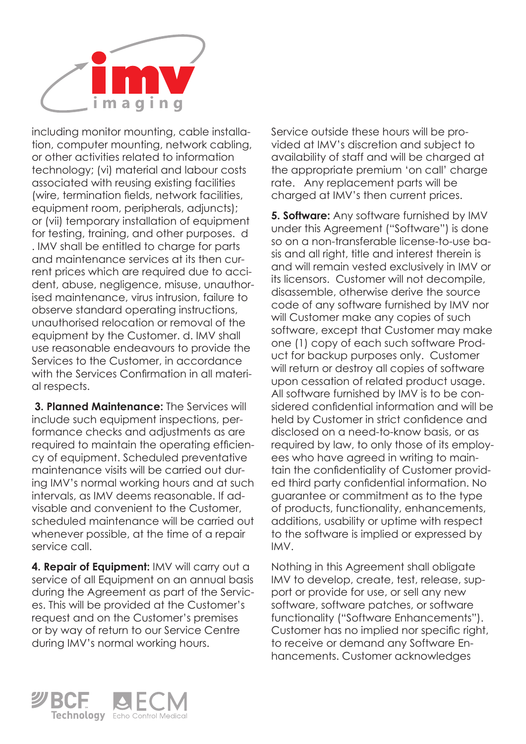

including monitor mounting, cable installation, computer mounting, network cabling, or other activities related to information technology; (vi) material and labour costs associated with reusing existing facilities (wire, termination fields, network facilities, equipment room, peripherals, adjuncts); or (vii) temporary installation of equipment for testing, training, and other purposes. d . IMV shall be entitled to charge for parts and maintenance services at its then current prices which are required due to accident, abuse, negligence, misuse, unauthorised maintenance, virus intrusion, failure to observe standard operating instructions, unauthorised relocation or removal of the equipment by the Customer. d. IMV shall use reasonable endeavours to provide the Services to the Customer, in accordance with the Services Confirmation in all material respects.

 **3. Planned Maintenance:** The Services will include such equipment inspections, performance checks and adjustments as are required to maintain the operating efficiency of equipment. Scheduled preventative maintenance visits will be carried out during IMV's normal working hours and at such intervals, as IMV deems reasonable. If advisable and convenient to the Customer, scheduled maintenance will be carried out whenever possible, at the time of a repair service call.

**4. Repair of Equipment:** IMV will carry out a service of all Equipment on an annual basis during the Agreement as part of the Services. This will be provided at the Customer's request and on the Customer's premises or by way of return to our Service Centre during IMV's normal working hours.

Service outside these hours will be provided at IMV's discretion and subject to availability of staff and will be charged at the appropriate premium 'on call' charge rate. Any replacement parts will be charged at IMV's then current prices.

**5. Software:** Any software furnished by IMV under this Agreement ("Software") is done so on a non-transferable license-to-use basis and all right, title and interest therein is and will remain vested exclusively in IMV or its licensors. Customer will not decompile, disassemble, otherwise derive the source code of any software furnished by IMV nor will Customer make any copies of such software, except that Customer may make one (1) copy of each such software Product for backup purposes only. Customer will return or destroy all copies of software upon cessation of related product usage. All software furnished by IMV is to be considered confidential information and will be held by Customer in strict confidence and disclosed on a need-to-know basis, or as required by law, to only those of its employees who have agreed in writing to maintain the confidentiality of Customer provided third party confidential information. No guarantee or commitment as to the type of products, functionality, enhancements, additions, usability or uptime with respect to the software is implied or expressed by IMV.

Nothing in this Agreement shall obligate IMV to develop, create, test, release, support or provide for use, or sell any new software, software patches, or software functionality ("Software Enhancements"). Customer has no implied nor specific right, to receive or demand any Software Enhancements. Customer acknowledges

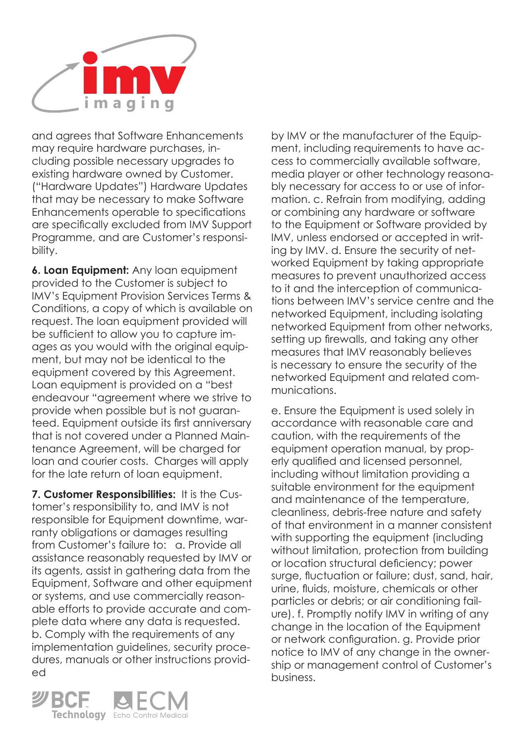

and agrees that Software Enhancements may require hardware purchases, including possible necessary upgrades to existing hardware owned by Customer. ("Hardware Updates") Hardware Updates that may be necessary to make Software Enhancements operable to specifications are specifically excluded from IMV Support Programme, and are Customer's responsibility.

**6. Loan Equipment:** Any loan equipment provided to the Customer is subject to IMV's Equipment Provision Services Terms & Conditions, a copy of which is available on request. The loan equipment provided will be sufficient to allow you to capture images as you would with the original equipment, but may not be identical to the equipment covered by this Agreement. Loan equipment is provided on a "best endeavour "agreement where we strive to provide when possible but is not guaranteed. Equipment outside its first anniversary that is not covered under a Planned Maintenance Agreement, will be charged for loan and courier costs. Charges will apply for the late return of loan equipment.

**7. Customer Responsibilities:** It is the Customer's responsibility to, and IMV is not responsible for Equipment downtime, warranty obligations or damages resulting from Customer's failure to: a. Provide all assistance reasonably requested by IMV or its agents, assist in gathering data from the Equipment, Software and other equipment or systems, and use commercially reasonable efforts to provide accurate and complete data where any data is requested. b. Comply with the requirements of any implementation guidelines, security procedures, manuals or other instructions provided

Technology Echo Control Medical

by IMV or the manufacturer of the Equipment, including requirements to have access to commercially available software, media player or other technology reasonably necessary for access to or use of information. c. Refrain from modifying, adding or combining any hardware or software to the Equipment or Software provided by IMV, unless endorsed or accepted in writing by IMV. d. Ensure the security of networked Equipment by taking appropriate measures to prevent unauthorized access to it and the interception of communications between IMV's service centre and the networked Equipment, including isolating networked Equipment from other networks, setting up firewalls, and taking any other measures that IMV reasonably believes is necessary to ensure the security of the networked Equipment and related communications.

e. Ensure the Equipment is used solely in accordance with reasonable care and caution, with the requirements of the equipment operation manual, by properly qualified and licensed personnel, including without limitation providing a suitable environment for the equipment and maintenance of the temperature, cleanliness, debris-free nature and safety of that environment in a manner consistent with supporting the equipment (including without limitation, protection from building or location structural deficiency; power surge, fluctuation or failure; dust, sand, hair, urine, fluids, moisture, chemicals or other particles or debris; or air conditioning failure). f. Promptly notify IMV in writing of any change in the location of the Equipment or network configuration. g. Provide prior notice to IMV of any change in the ownership or management control of Customer's business.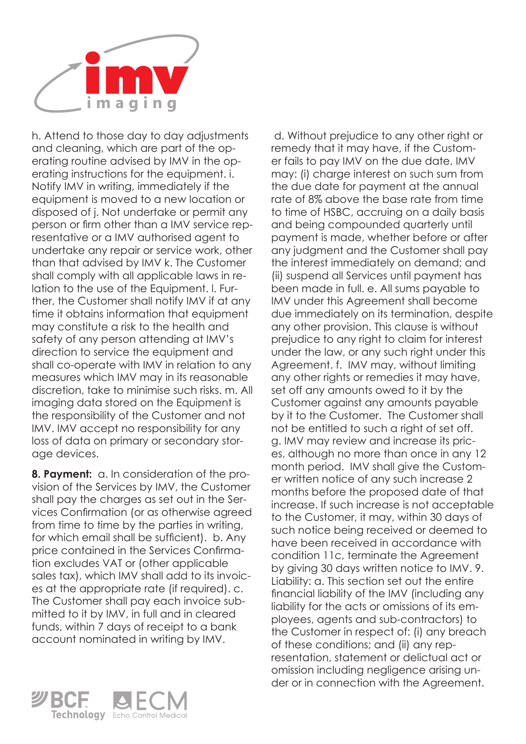

h. Attend to those day to day adjustments and cleaning, which are part of the operating routine advised by IMV in the operating instructions for the equipment. i. Notify IMV in writing, immediately if the equipment is moved to a new location or disposed of j. Not undertake or permit any person or firm other than a IMV service representative or a IMV authorised agent to undertake any repair or service work, other than that advised by IMV k. The Customer shall comply with all applicable laws in relation to the use of the Equipment. l. Further, the Customer shall notify IMV if at any time it obtains information that equipment may constitute a risk to the health and safety of any person attending at IMV's direction to service the equipment and shall co-operate with IMV in relation to any measures which IMV may in its reasonable discretion, take to minimise such risks. m. All imaging data stored on the Equipment is the responsibility of the Customer and not IMV. IMV accept no responsibility for any loss of data on primary or secondary storage devices.

**8. Payment:** a. In consideration of the provision of the Services by IMV, the Customer shall pay the charges as set out in the Services Confirmation (or as otherwise agreed from time to time by the parties in writing, for which email shall be sufficient). b. Any price contained in the Services Confirmation excludes VAT or (other applicable sales tax), which IMV shall add to its invoices at the appropriate rate (if required). c. The Customer shall pay each invoice submitted to it by IMV, in full and in cleared funds, within 7 days of receipt to a bank account nominated in writing by IMV.



 d. Without prejudice to any other right or remedy that it may have, if the Customer fails to pay IMV on the due date, IMV may: (i) charge interest on such sum from the due date for payment at the annual rate of 8% above the base rate from time

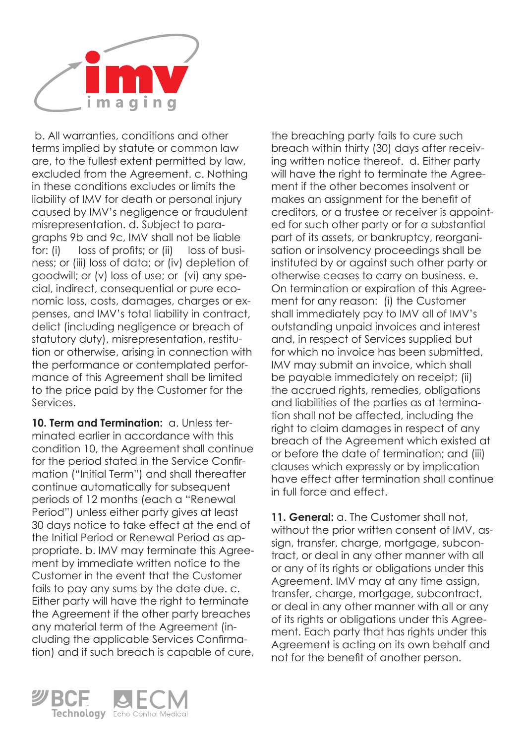

 b. All warranties, conditions and other terms implied by statute or common law are, to the fullest extent permitted by law, excluded from the Agreement. c. Nothing in these conditions excludes or limits the liability of IMV for death or personal injury caused by IMV's negligence or fraudulent misrepresentation. d. Subject to paragraphs 9b and 9c, IMV shall not be liable for: (i) loss of profits; or (ii) loss of business; or (iii) loss of data; or (iv) depletion of goodwill; or (v) loss of use; or (vi) any special, indirect, consequential or pure economic loss, costs, damages, charges or expenses, and IMV's total liability in contract, delict (including negligence or breach of statutory duty), misrepresentation, restitution or otherwise, arising in connection with the performance or contemplated performance of this Agreement shall be limited to the price paid by the Customer for the Services.

10. Term and Termination: a. Unless terminated earlier in accordance with this condition 10, the Agreement shall continue for the period stated in the Service Confirmation ("Initial Term") and shall thereafter continue automatically for subsequent periods of 12 months (each a "Renewal Period") unless either party gives at least 30 days notice to take effect at the end of the Initial Period or Renewal Period as appropriate. b. IMV may terminate this Agreement by immediate written notice to the Customer in the event that the Customer fails to pay any sums by the date due. c. Either party will have the right to terminate the Agreement if the other party breaches any material term of the Agreement (including the applicable Services Confirmation) and if such breach is capable of cure,

the breaching party fails to cure such breach within thirty (30) days after receiving written notice thereof. d. Either party will have the right to terminate the Agreement if the other becomes insolvent or makes an assignment for the benefit of creditors, or a trustee or receiver is appointed for such other party or for a substantial part of its assets, or bankruptcy, reorganisation or insolvency proceedings shall be instituted by or against such other party or otherwise ceases to carry on business. e. On termination or expiration of this Agreement for any reason: (i) the Customer shall immediately pay to IMV all of IMV's outstanding unpaid invoices and interest and, in respect of Services supplied but for which no invoice has been submitted. IMV may submit an invoice, which shall be payable immediately on receipt; (ii) the accrued rights, remedies, obligations and liabilities of the parties as at termination shall not be affected, including the right to claim damages in respect of any breach of the Agreement which existed at or before the date of termination; and (iii) clauses which expressly or by implication have effect after termination shall continue in full force and effect.

**11. General:** a. The Customer shall not, without the prior written consent of IMV, assign, transfer, charge, mortgage, subcontract, or deal in any other manner with all or any of its rights or obligations under this Agreement. IMV may at any time assign, transfer, charge, mortgage, subcontract, or deal in any other manner with all or any of its rights or obligations under this Agreement. Each party that has rights under this Agreement is acting on its own behalf and not for the benefit of another person.